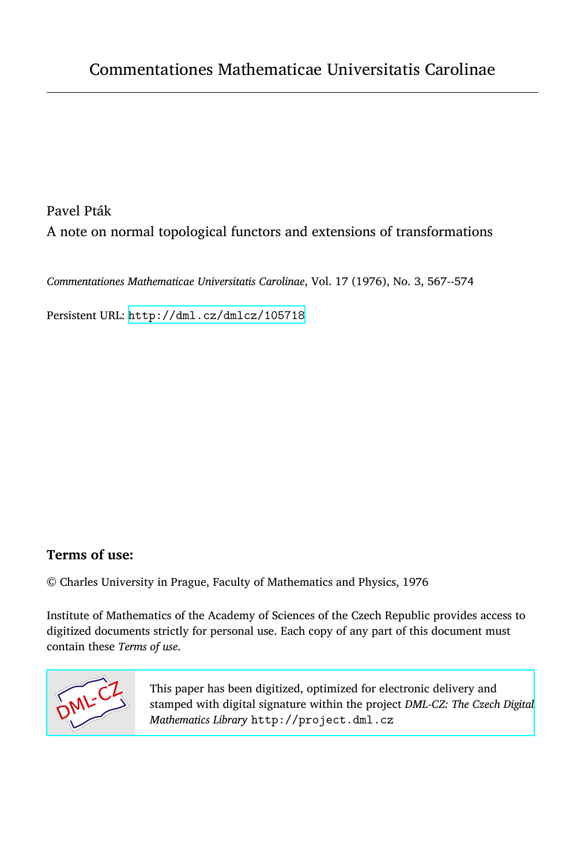Pavel Pták A note on normal topological functors and extensions of transformations

*Commentationes Mathematicae Universitatis Carolinae*, Vol. 17 (1976), No. 3, 567--574

Persistent URL: <http://dml.cz/dmlcz/105718>

## **Terms of use:**

© Charles University in Prague, Faculty of Mathematics and Physics, 1976

Institute of Mathematics of the Academy of Sciences of the Czech Republic provides access to digitized documents strictly for personal use. Each copy of any part of this document must contain these *Terms of use*.



[This paper has been digitized, optimized for electronic delivery and](http://project.dml.cz) stamped with digital signature within the project *DML-CZ: The Czech Digital Mathematics Library* http://project.dml.cz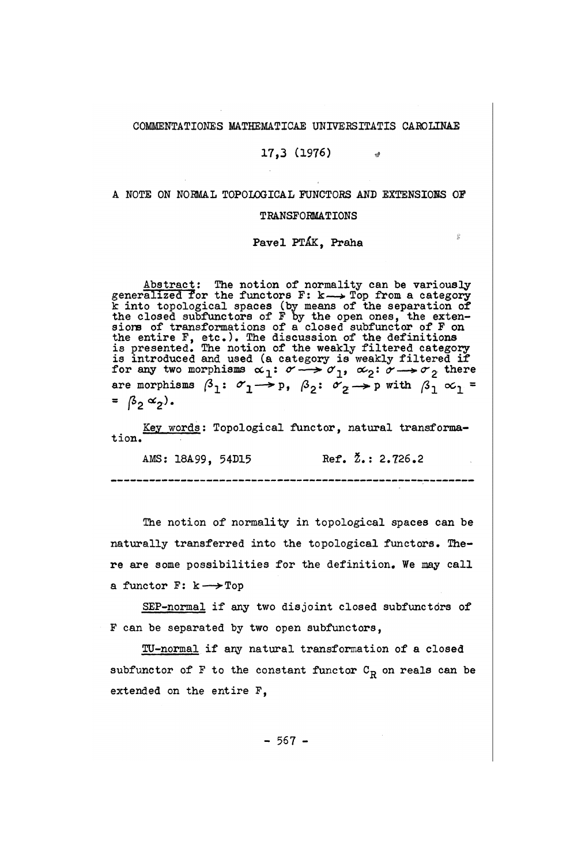## COMMENTATIONES MATHEMATICAE UNIVERSITATIS CAROLINAE

### $17.3$  (1976)  $*$

# A NOTE ON NORMAL TOPOLOGICAL FUNCTORS AND EXTENSIONS OF

#### TRANSFORMATIONS

Pavel PTÁK, Praha

 $\frac{d\bar{D}}{d\bar{D}}$ 

Abstract: The notion of normality can be variously generalized for the functors  $F: k \longrightarrow Top$  from a category k into topological spaces (by means of the separation of the closed subfunctors of F by the open ones, the extensions of transformations of a closed subfunctor of F on the entire F, etc.). The discussion of the definitions is presented. The notion of the weakly filtered category is introduced and used (a category is weakly filtered if for any two morphisms  $\alpha_1: \sigma \longrightarrow \sigma_1$ ,  $\alpha_2: \sigma \longrightarrow \sigma_2$  there are morphisms  $\beta_1: \sigma_1 \longrightarrow p$ ,  $\beta_2: \sigma_2 \longrightarrow p$  with  $\beta_1 \propto_1$  =  $=$   $\beta_2 \alpha_2$ ).

Key words: Topological functor, natural transformation.

AMS: 18A99, 54D15 Ref. 2.: 2.726.2 

The notion of normality in topological spaces can be naturally transferred into the topological functors. There are some possibilities for the definition. We may call a functor F:  $k \rightarrow$ Top

SEP-normal if any two disjoint closed subfunctors of F can be separated by two open subfunctors,

TU-normal if any natural transformation of a closed subfunctor of F to the constant functor  $C_R$  on reals can be extended on the entire F,

 $-567 -$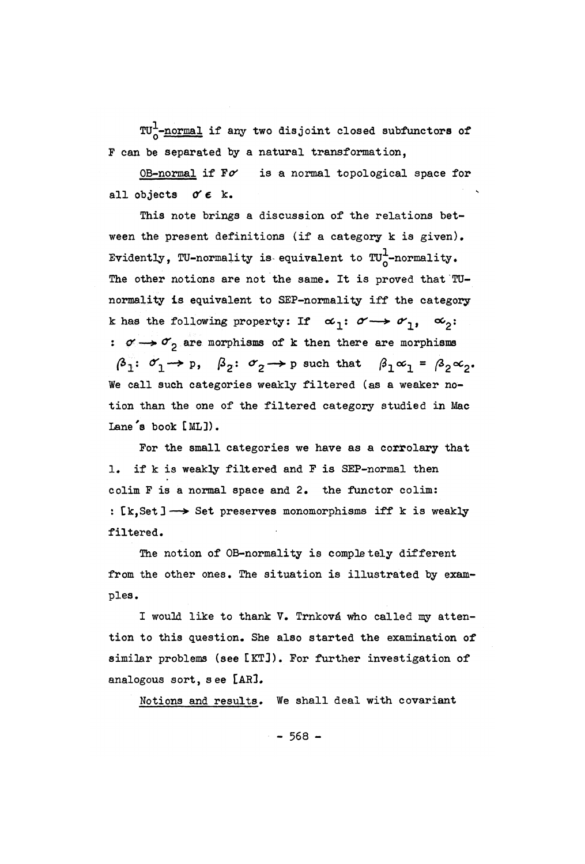TU--normal if any two disjoint closed subfunctors of F can be separated by a natural transformation,

OB-normal if *¥&* is a normal topological space for all objects  $\sigma \in k$ .

This note brings a discussion of the relations between the present definitions (if a category k is given). Evidently, TU-normality is equivalent to  $TU^1$ -normality. The other notions are not the same. It is proved that TUnormality is equivalent to SEP-normality iff the category k has the following property: If  $\alpha_1: \alpha \rightarrow \alpha_1$ ,  $\alpha_2:$ :  $\sigma \rightarrow \sigma$  are morphisms of k then there are morphisms  $\beta_1: \sigma_1 \rightarrow p, \quad \beta_2: \sigma_2 \rightarrow p$  such that  $\beta_1 \alpha_1 = \beta_2 \alpha_2$ . We call such categories weakly filtered (as a weaker notion than the one of the filtered category studied in Mac Lane's book [ML]).

For the small categories we have as a corrolary that 1. if k is weakly filtered and F is SEP-normal then colim F is a normal space and 2. the functor colim: : [k, Set]  $\longrightarrow$  Set preserves monomorphisms iff k is weakly filtered.

The notion of OB-normality is completely different from the other ones. The situation is illustrated by examples.

I would like to thank V. Trnková who called my attention to this question. She also started the examination of similar problems (see [KT3). For further investigation of analogous sort, see [AR3.

Notions and results. We shall deal with covariant

 $-568 -$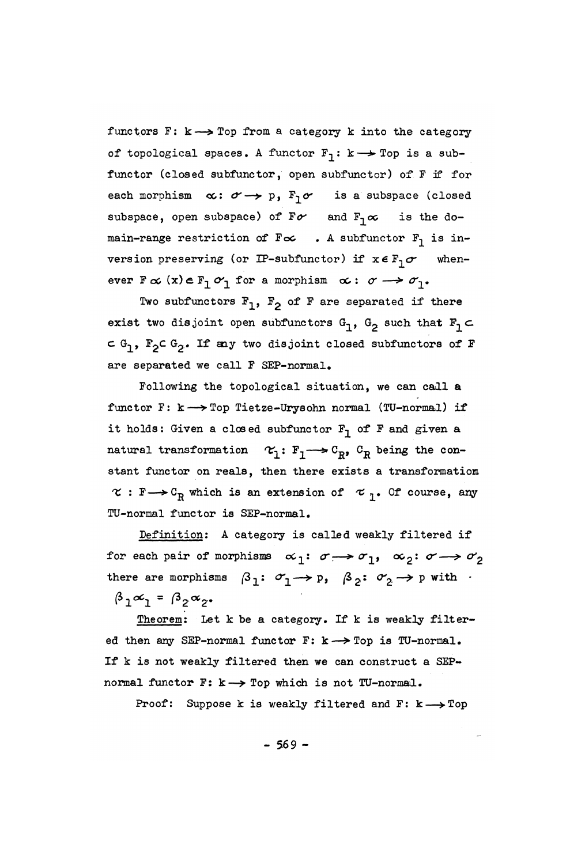functors F:  $k \rightarrow$  Top from a category k into the category of topological spaces. A functor  $F_1: k \rightarrow Top$  is a subfunctor (closed subfunctor, open subfunctor) of F if for each morphism  $\alpha: \sigma \rightarrow p$ ,  $F_1 \sigma$  is a subspace (closed subspace, open subspace) of  $F\sigma$  and  $F_1\sigma$  is the domain-range restriction of  $F \nightharpoonup$  . A subfunctor  $F_1$  is inversion preserving (or IP-subfunctor) if  $x \in F_1 \sigma$  whenever  $F \propto (x) \in F_1 \circ r$  for a morphism  $\propto : \sigma \rightarrow \sigma_1$ .

Two subfunctors  $F_1$ ,  $F_2$  of F are separated if there exist two disjoint open subfunctors  $G_1$ ,  $G_2$  such that  $F_1 \subset$ c  $G_1$ ,  $F_2$ c  $G_2$ . If any two disjoint closed subfunctors of F are separated we call F SEP-normal.

Following the topological situation, we can call a functor F:  $k \longrightarrow$  Top Tietze-Urysohn normal (TU-normal) if it holds: Given a closed subfunctor  $F_1$  of F and given a natural transformation  $\alpha_1: F_1 \longrightarrow C_R$ ,  $C_R$  being the constant functor on reals, then there exists a transformation  $\kappa : F \longrightarrow C_R$  which is an extension of  $\kappa$ <sub>7</sub>. Of course, any TU-normal functor is SEP-normal.

Definition: A category is called weakly filtered if for each pair of morphisms  $\alpha_1: \sigma \rightarrow \sigma_1$ ,  $\alpha_2: \sigma \rightarrow \sigma_2$ there are morphisms  $\beta_1: \sigma_1 \rightarrow p$ ,  $\beta_2: \sigma_2 \rightarrow p$  with  $\beta_1$  $\beta_1 \alpha_1 = \beta_2 \alpha_2$ .

Theorem: Let k be a category. If k is weakly filtered then any SEP-normal functor F: k— *>* Top is TU-normal. If k is not weakly filtered then we can construct a SEPnormal functor F: k -> Top which is not TU-normal.

Proof: Suppose k is weakly filtered and F:  $k \longrightarrow Top$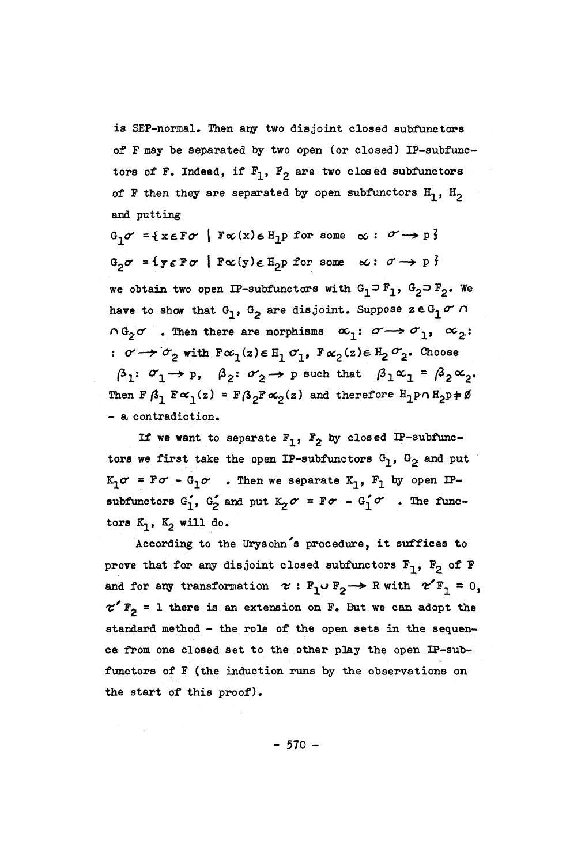is SEP-normal. Then any two disjoint closed subfunctors of P may be separated by two open (or closed) IP-subfunctors of F. Indeed, if  $F_1$ ,  $F_2$  are two closed subfunctors of F then they are separated by open subfunctors  $H_1$ ,  $H_2$ and putting

 $G_1 \sigma = \{x \in F \sigma \mid F \infty(x) \in H_1p \text{ for some } \infty : \sigma \rightarrow p\}$  $G_2 \sigma = i y \epsilon F \sigma$  |  $F \propto (y) \epsilon H_2 p$  for some  $\alpha: \sigma \rightarrow p$  ? we obtain two open IP-subfunctors with  $G_1 \supset F_1$ ,  $G_2 \supset F_2$ . We have to show that  $G_1$ ,  $G_2$  are disjoint. Suppose  $z \in G_1$  or n  $\alpha_1 \circ \alpha_2 \circ \cdots$  Then there are morphisms  $\alpha_1 \colon \alpha \rightarrow \alpha_1$ ,  $\alpha_2$ :  $\sigma \rightarrow \sigma_2$  with  $F\alpha_1(z) \in H_1 \sigma_1$ ,  $F\alpha_2(z) \in H_2 \sigma_2$ . Choose  $\beta_1: \sigma_1 \rightarrow p, \quad \beta_2: \sigma_2 \rightarrow p$  such that  $\beta_1 \alpha_1 = \beta_2 \alpha_2$ Then F  $\beta_1$   $F \propto_1(z)$  = F $\beta_2$ F $\propto_2(z)$  and therefore  ${\tt H}_1$ p $\cap$  H<sub>2</sub>p $\neq$ Ø - a contradiction.

If we want to separate  $F_1$ ,  $F_2$  by closed IP-subfunctors we first take the open IP-subfunctors  $G_1$ ,  $G_2$  and put  $K_1\sigma = F\sigma - G_1\sigma$  . Then we separate  $K_1$ ,  $F_1$  by open IPsubfunctors  $G_1$ ,  $G_2$  and put  $K_2 \sigma = F \sigma - G_1^{\prime} \sigma$ . The functors  $K_1$ ,  $K_2$  will do.

According to the Urysohn's procedure, it suffices to prove that for any disjoint closed subfunctors  $F_1$ ,  $F_2$  of  $F$ and for any transformation  $\tau : F_1 \cup F_2 \longrightarrow R$  with  $\tau'F_1 = 0$ ,  $\tau'$  F<sub>2</sub> = 1 there is an extension on F. But we can adopt the standard method - the role of the open sets in the sequence from one closed set to the other play the open IP-subfunctors of F (the induction runs by the observations on the start of this proof).

 $- 570 -$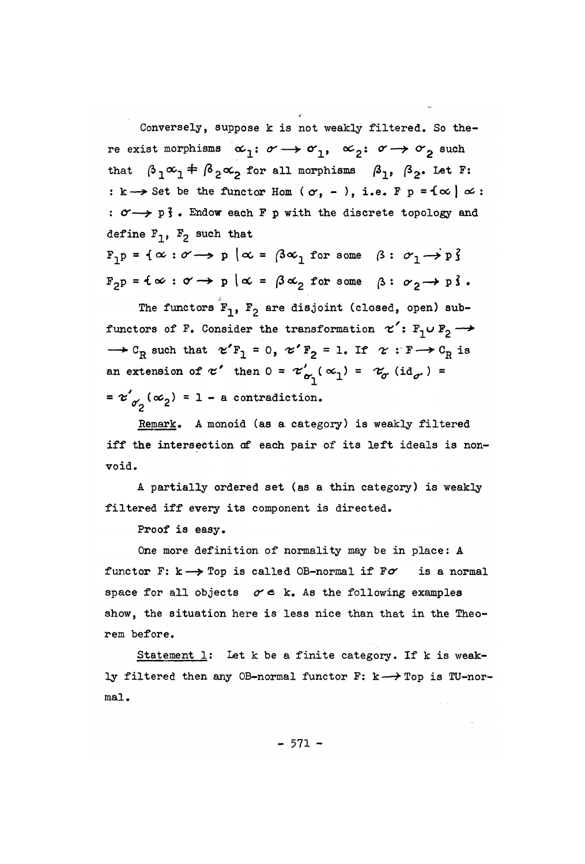Conversely, suppose k is not weakly filtered. So there exist morphisms  $\alpha_1: \alpha \rightarrow \alpha_1$ ,  $\alpha_2: \alpha \rightarrow \alpha_2$  such that  $\beta_1 \alpha_1 \neq \beta_2 \alpha_2$  for all morphisms  $\beta_1$ ,  $\beta_2$ . Let F :  $k \rightarrow$  Set be the functor Hom ( $\sigma$ , -), i.e. F  $p = f \infty$  *o* : :  $\sigma \rightarrow p$  *j*. Endow each F p with the discrete topology and define  $F_1$ ,  $F_2$  such that

 $\mathbb{F}_1 \mathbb{p} = \{ \infty : \mathscr{O} \longrightarrow \mathbb{p} \mid \infty = \{ 3 \infty \}$  for some  $\mathscr{B} : \mathscr{O}_1 \longrightarrow \mathbb{p} \}$  $F_{2}p = \{\infty: \sigma \rightarrow p \mid \alpha = \beta \alpha_{2} \text{ for some } \beta: \sigma_{2} \rightarrow p \}$ .

The functors  $F_1$ ,  $F_2$  are disjoint (closed, open) subfunctors of F. Consider the transformation  $\alpha'$ : F<sub>1</sub>U F<sub>2</sub>  $\rightarrow$  $\rightarrow$  C<sub>R</sub> such that  $\alpha'$  F<sub>1</sub> = 0,  $\alpha'$  F<sub>2</sub> = 1. If  $\alpha$  : F  $\rightarrow$  C<sub>R</sub> is an extension of  $\alpha'$  then  $0 = \alpha'_{\alpha_1} (\alpha_1) = \alpha_{\sigma} (id_{\sigma}) =$  $= x'_{\alpha'} (\alpha_2) = 1 - a$  contradiction.

Remark. A monoid (as a category) is weakly filtered iff the intersection of each pair of its left ideals is nonvoid.

A partially ordered set (as a thin category) is weakly filtered iff every its component is directed.

Proof is easy.

One more definition of normality may be in place: A functor F:  $k \rightarrow$  Top is called OB-normal if  $F\sigma$  is a normal space for all objects  $\sigma \in k$ . As the following examples show, the situation here is less nice than that in the Theorem before.

Statement  $l$ : Let k be a finite category. If k is weakly filtered then any OB-normal functor F:  $k \rightarrow Top$  is TU-normal.

 $-571 -$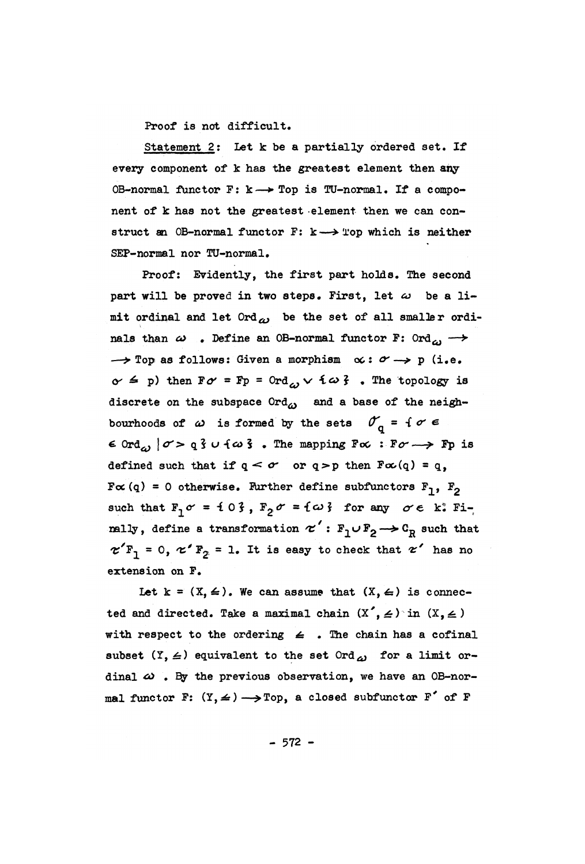**Proof is not difficult.** 

**Statement 2: Let k be a partially ordered set. If every component of k has the greatest element then any OB-normal functor F: k—»• Top is TU-normal. If a component of k has not the greatest element then we can construct an OB-normal functor F: k—***\*>* **Top which is neither SEP-normal nor TU-normal.** 

**Proof: Evidently, the first part holds. The second**  part will be proved in two steps. First, let  $\omega$  be a limit ordinal and let  $0rd_{\omega}$  be the set of all smaller ordi**nals than**  $\omega$  . Define an OB-normal functor F: Ord<sub> $\omega$ </sub>  $\rightarrow$  $\rightarrow$  Top as follows: Given a morphism  $\alpha: \alpha \rightarrow$  p (i.e.  $\alpha \leq p$ ) then  $F\alpha = Fp = 0$ rd<sub>o</sub>,  $\vee$   $f \omega f$ . The topology is discrete on the subspace Ord<sub> $\omega$ </sub> and a base of the neighbourhoods of  $\omega$  is formed by the sets  $\mathcal{O}_0 = \{ \sigma \in$  $\epsilon$  Ord<sub>c</sub>,  $\sigma > q$   $\epsilon$  u  $\{\omega\}$ . The mapping  $F\alpha$ :  $F\sigma \rightarrow Fp$  is defined such that if  $q < \sigma$  or  $q > p$  then  $F\alpha(q) = q$ ,  $F \propto (q) = 0$  otherwise. Further define subfunctors  $F_1$ ,  $F_2$ such that  $F_1 \sigma = 103$ ,  $F_2 \sigma = \{\omega\}$  for any  $\sigma \in k^*$  Fi**nally, define a transformation**  $\tau': F_1 \cup F_2 \longrightarrow C_R$  **such that**  $\mathbf{z} \cdot \mathbf{F_1} = 0$ ,  $\mathbf{z} \cdot \mathbf{F_2} = 1$ . It is easy to check that  $\mathbf{z}$  has **extension on F.** 

Let  $k = (X, 4)$ . We can assume that  $(X, 4)$  is connec**ted and directed. Take a maximal chain**  $(X', \leq)$  **in**  $(X, \leq)$ with respect to the ordering  $\leq$  . The chain has a cofinal subset  $(Y, \leq)$  equivalent to the set Ord<sub> $\omega$ </sub> for a limit ordinal  $\omega$ . By the previous observation, we have an OB-normal functor F:  $(Y, \leq) \longrightarrow \text{Top}$ , a closed subfunctor F' of F

 $-572 -$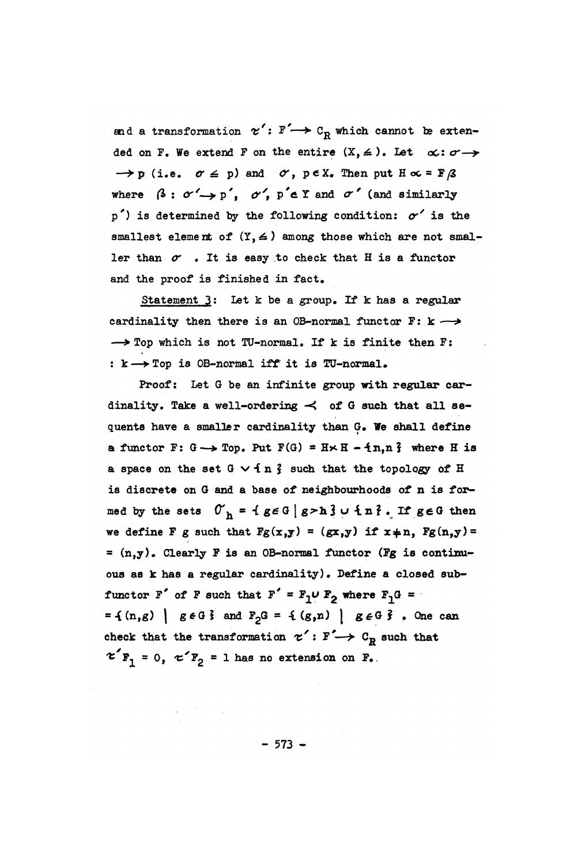and a transformation  $\alpha'$ :  $F' \rightarrow C_R$  which cannot be extended on F. We extend F on the entire  $(X, \leq)$ . Let  $\alpha: \sigma \rightarrow$  $\rightarrow$  p (i.e.  $\sigma \leq p$ ) and  $\sigma$ , peX. Then put  $H \propto = F/3$ where  $\beta : \sigma' \rightarrow p'$ ,  $\sigma'$ ,  $p' \in \mathbb{Y}$  and  $\sigma'$  (and similarly p**') is determined by the following condition:** *or'* **is the**  smallest element of  $(Y, \leq)$  among those which are not smaller than  $\sigma$  . It is easy to check that H is a functor **and the** p**roof is finished in fact.** 

**Statement 3: Let k be a grou**p**. If k has a regular**  cardinality then there is an OB-normal functor  $F: k \rightarrow$ **— > To**p **which is not TU-normal. If k is finite then F: : k—\*To**p **is OB-normal iff it is TU-normal.** 

**Proof: Let G be an infinite grou**p **with regular cardinality. Take a well-ordering -< of G such that all sequents have a smaller cardinality than G. We shall define a** functor F:  $G \rightarrow Top$ . Put  $F(G) = H \times H - \{n, n\}$  where H is **a** space on the set  $G \vee f$  n  $\zeta$  such that the topology of H **is discrete on G and a base of neighbourhoods of n is for**med by the sets  $0_n = \{ g \in G \mid g > h \}$  u  $\{ n \}$ . If  $g \in G$  then we define F g such that  $Fg(x,y) = (gx,y)$  if  $x \ne n$ ,  $Fg(n,y) =$ **= (n,y). Clearly F is an OB-normal functor (Fg is continuous as k has a regular cardinality). Define a closed sub**functor  $F'$  of  $F$  such that  $F' = F_1 \cup F_2$  where  $F_1 G =$  $= { (n,g) | g \in G}$  and  $F_2G = { (g,n) | g \in G}$  . One can check that the transformation  $\tau' : F' \to C_R$  such that  $\mathcal{L} \big( \mathbf{F}_1 = 0, \mathcal{L} \big/ \mathbf{F}_2 = 1 \text{ has no extension on } \mathbf{F}_2.$ 

**- 573 -**